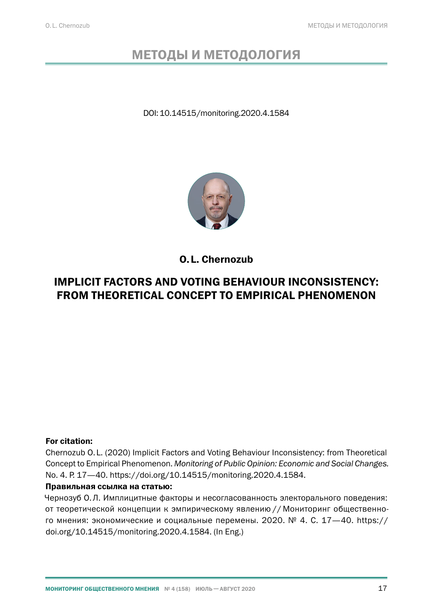# МЕТОДЫ И МЕТОДОЛОГИЯ

DOI: 10.14515/monitoring.2020.4.1584



O.L. Chernozub

## IMPLICIT FACTORS AND VOTING BEHAVIOUR INCONSISTENCY: FROM THEORETICAL CONCEPT TO EMPIRICAL PHENOMENON

#### For citation:

Chernozub O.L. (2020) Implicit Factors and Voting Behaviour Inconsistency: from Theoretical Concept to Empirical Phenomenon. *Monitoring of Public Opinion: Economic and Social Changes.* No. 4. P. 17[—40](#page-23-0). https://doi.org/10.14515/monitoring.2020.4.1584.

#### Правильная ссылка на статью:

Чернозуб О.Л. Имплицитные факторы и несогласованность электорального поведения: от теоретической концепции к эмпирическому явлению // Мониторинг общественно-го мнения: экономические и социальные перемены. 2020. № 4. С. 17-[40](#page-23-0). https:// doi.org/10.14515/monitoring.2020.4.1584. (In Eng.)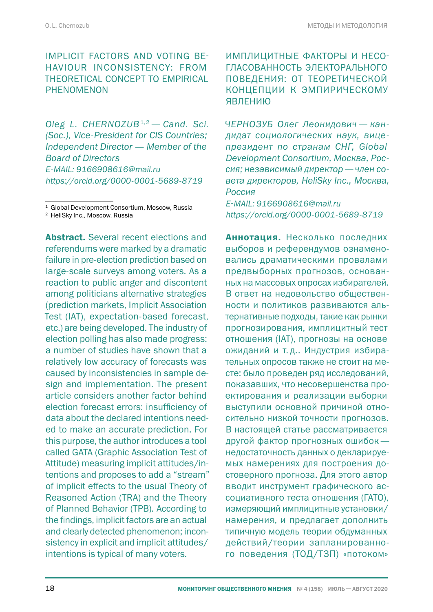## IMPLICIT FACTORS AND VOTING BE-HAVIOUR INCONSISTENCY: FROM THEORETICAL CONCEPT TO EMPIRICAL PHENOMENON

*Oleg L. CHERNOZUB*1,2 *— Cand. Sci. (Soc.), Vice-President for CIS Countries; Independent Director — Member of the Board of Directors E‑MAIL: 9166908616@mail.ru https://orcid.org/0000-0001-5689-8719*

<sup>1</sup> Global Development Consortium, Moscow, Russia

<sup>2</sup> HeliSky Inc., Moscow, Russia

Abstract. Several recent elections and referendums were marked by a dramatic failure in pre-election prediction based on large-scale surveys among voters. As a reaction to public anger and discontent among politicians alternative strategies (prediction markets, Implicit Association Test (IAT), expectation-based forecast, etc.) are being developed. The industry of election polling has also made progress: a number of studies have shown that a relatively low accuracy of forecasts was caused by inconsistencies in sample design and implementation. The present article considers another factor behind election forecast errors: insufficiency of data about the declared intentions needed to make an accurate prediction. For this purpose, the author introduces a tool called GATA (Graphic Association Test of Attitude) measuring implicit attitudes/intentions and proposes to add a "stream" of implicit effects to the usual Theory of Reasoned Action (TRA) and the Theory of Planned Behavior (TPB). According to the findings, implicit factors are an actual and clearly detected phenomenon; inconsistency in explicit and implicit attitudes/ intentions is typical of many voters.

ИМПЛИЦИТНЫЕ ФАКТОРЫ И НЕСО-ГЛАСОВАННОСТЬ ЭЛЕКТОРАЛЬНОГО ПОВЕДЕНИЯ: ОТ ТЕОРЕТИЧЕСКОЙ КОНЦЕПЦИИ К ЭМПИРИЧЕСКОМУ ЯВЛЕНИЮ

*ЧЕРНОЗУБ Олег Леонидович — кандидат социологических наук, вицепрезидент по странам СНГ, Global Development Consortium, Москва, Россия; независимый директор—член совета директоров, HeliSky Inc., Москва, Россия*

*E‑MAIL: 9166908616@mail.ru https://orcid.org/0000-0001-5689-8719*

Аннотация. Несколько последних выборов и референдумов ознаменовались драматическими провалами предвыборных прогнозов, основанных на массовых опросах избирателей. В ответ на недовольство общественности и политиков развиваются альтернативные подходы, такие как рынки прогнозирования, имплицитный тест отношения (IAT), прогнозы на основе ожиданий и т. д.. Индустрия избирательных опросов также не стоит на месте: было проведен ряд исследований, показавших, что несовершенства проектирования и реализации выборки выступили основной причиной относительно низкой точности прогнозов. В настоящей статье рассматривается другой фактор прогнозных ошибок недостаточность данных о декларируемых намерениях для построения достоверного прогноза. Для этого автор вводит инструмент графического ассоциативного теста отношения (ГАТО), измеряющий имплицитные установки/ намерения, и предлагает дополнить типичную модель теории обдуманных действий/теории запланированного поведения (ТОД/ТЗП) «потоком»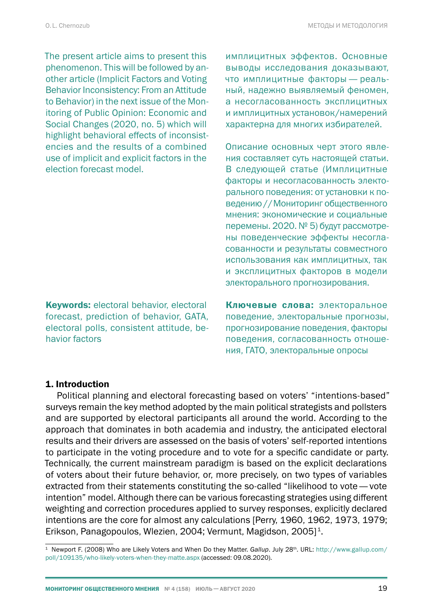The present article aims to present this phenomenon. This will be followed by another article (Implicit Factors and Voting Behavior Inconsistency: From an Attitude to Behavior) in the next issue of the Monitoring of Public Opinion: Economic and Social Changes (2020, no. 5) which will highlight behavioral effects of inconsistencies and the results of a combined use of implicit and explicit factors in the election forecast model.

Keywords: electoral behavior, electoral forecast, prediction of behavior, GATA, electoral polls, consistent attitude, behavior factors

имплицитных эффектов. Основные выводы исследования доказывают, что имплицитные факторы — реальный, надежно выявляемый феномен, а несогласованность эксплицитных и имплицитных установок/намерений характерна для многих избирателей.

Описание основных черт этого явления составляет суть настоящей статьи. В следующей статье (Имплицитные факторы и несогласованность электорального поведения: от установки к поведению//Мониторинг общественного мнения: экономические и социальные перемены. 2020. № 5) будут рассмотрены поведенческие эффекты несогласованности и результаты совместного использования как имплицитных, так и эксплицитных факторов в модели электорального прогнозирования.

Ключевые слова: электоральное поведение, электоральные прогнозы, прогнозирование поведения, факторы поведения, согласованность отношения, ГАТО, электоральные опросы

#### 1. Introduction

Political planning and electoral forecasting based on voters' "intentions-based" surveys remain the key method adopted by the main political strategists and pollsters and are supported by electoral participants all around the world. According to the approach that dominates in both academia and industry, the anticipated electoral results and their drivers are assessed on the basis of voters' self-reported intentions to participate in the voting procedure and to vote for a specific candidate or party. Technically, the current mainstream paradigm is based on the explicit declarations of voters about their future behavior, or, more precisely, on two types of variables extracted from their statements constituting the so-called "likelihood to vote— vote intention" model. Although there can be various forecasting strategies using different weighting and correction procedures applied to survey responses, explicitly declared intentions are the core for almost any calculations [Perry, 1960, 1962, 1973, 1979; Erikson, Panagopoulos, Wlezien, 2004; Vermunt, Magidson, 2005]<sup>1</sup>.

<sup>&</sup>lt;sup>1</sup> Newport F. (2008) Who are Likely Voters and When Do they Matter. Gallup. July 28<sup>th</sup>. URL: [http://www.gallup.com/](http://www.gallup.com/poll/109135/who-likely-voters-when-they-matte.aspx) [poll/109135/who-likely-voters-when-they-matte.aspx](http://www.gallup.com/poll/109135/who-likely-voters-when-they-matte.aspx) (accessed: 09.08.2020).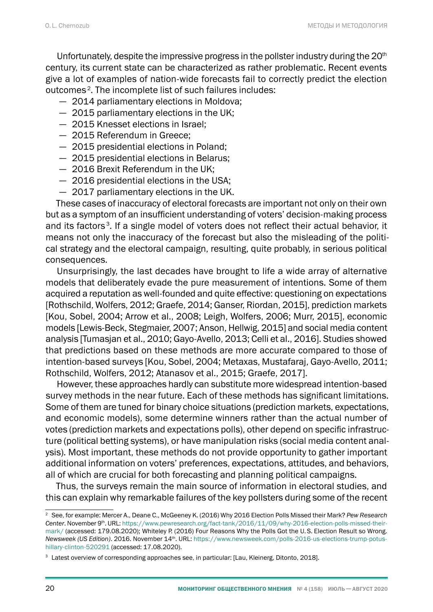Unfortunately, despite the impressive progress in the pollster industry during the  $20<sup>th</sup>$ century, its current state can be characterized as rather problematic. Recent events give a lot of examples of nation-wide forecasts fail to correctly predict the election outcomes 2. The incomplete list of such failures includes:

- 2014 parliamentary elections in Moldova;
- 2015 parliamentary elections in the UK;
- 2015 Knesset elections in Israel;
- 2015 Referendum in Greece;
- 2015 presidential elections in Poland;
- 2015 presidential elections in Belarus;
- 2016 Brexit Referendum in the UK;
- 2016 presidential elections in the USA;
- 2017 parliamentary elections in the UK.

These cases of inaccuracy of electoral forecasts are important not only on their own but as a symptom of an insufficient understanding of voters' decision-making process and its factors<sup>3</sup>. If a single model of voters does not reflect their actual behavior, it means not only the inaccuracy of the forecast but also the misleading of the political strategy and the electoral campaign, resulting, quite probably, in serious political consequences.

Unsurprisingly, the last decades have brought to life a wide array of alternative models that deliberately evade the pure measurement of intentions. Some of them acquired a reputation as well-founded and quite effective: questioning on expectations [Rothschild, Wolfers, 2012; Graefe, 2014; Ganser, Riordan, 2015], prediction markets [Kou, Sobel, 2004; Arrow et al., 2008; Leigh, Wolfers, 2006; Murr, 2015], economic models [Lewis-Beck, Stegmaier, 2007; Anson, Hellwig, 2015] and social media content analysis [Tumasjan et al., 2010; Gayo-Avello, 2013; Celli et al., 2016]. Studies showed that predictions based on these methods are more accurate compared to those of intention-based surveys [Kou, Sobel, 2004; Metaxas, Mustafaraj, Gayo-Avello, 2011; Rothschild, Wolfers, 2012; Atanasov et al., 2015; Graefe, 2017].

However, these approaches hardly can substitute more widespread intention-based survey methods in the near future. Each of these methods has significant limitations. Some of them are tuned for binary choice situations (prediction markets, expectations, and economic models), some determine winners rather than the actual number of votes (prediction markets and expectations polls), other depend on specific infrastructure (political betting systems), or have manipulation risks (social media content analysis). Most important, these methods do not provide opportunity to gather important additional information on voters' preferences, expectations, attitudes, and behaviors, all of which are crucial for both forecasting and planning political campaigns.

Thus, the surveys remain the main source of information in electoral studies, and this can explain why remarkable failures of the key pollsters during some of the recent

<sup>2</sup> See, for example: Mercer A., Deane C., McGeeney K. (2016) Why 2016 Election Polls Missed their Mark? *Pew Research*  Center. November 9<sup>th</sup>. URL: https://www.pewresearch.org/fact-tank/2016/11/09/why-2016-election-polls-missed-theirmark/ (accessed: 179.08.2020); Whiteley P. (2016) Four Reasons Why the Polls Got the U.S. Election Result so Wrong. *Newsweek (US Edition).* 2016. November 14<sup>th</sup>. URL: https://www.newsweek.com/polls-2016-us-elections-trump-potushillary-clinton-520291 (accessed: 17.08.2020).

<sup>&</sup>lt;sup>3</sup> Latest overview of corresponding approaches see, in particular: [Lau, Kleinerg, Ditonto, 2018].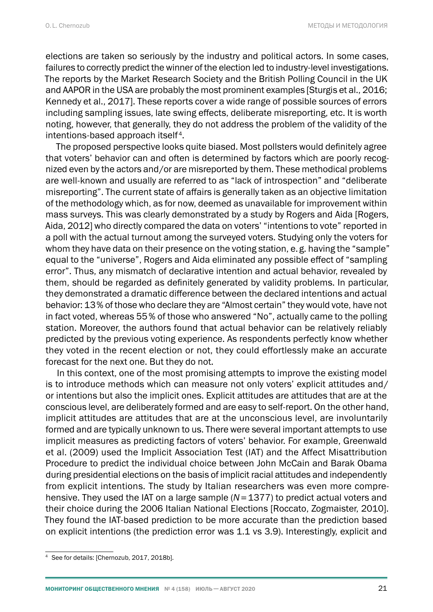elections are taken so seriously by the industry and political actors. In some cases, failures to correctly predict the winner of the election led to industry-level investigations. The reports by the Market Research Society and the British Polling Council in the UK and AAPOR in the USA are probably the most prominent examples [Sturgis et al., 2016; Kennedy et al., 2017]. These reports cover a wide range of possible sources of errors including sampling issues, late swing effects, deliberate misreporting, etc. It is worth noting, however, that generally, they do not address the problem of the validity of the intentions-based approach itself<sup>4</sup>.

The proposed perspective looks quite biased. Most pollsters would definitely agree that voters' behavior can and often is determined by factors which are poorly recognized even by the actors and/or are misreported by them. These methodical problems are well-known and usually are referred to as "lack of introspection" and "deliberate misreporting". The current state of affairs is generally taken as an objective limitation of the methodology which, as for now, deemed as unavailable for improvement within mass surveys. This was clearly demonstrated by a study by Rogers and Aida [Rogers, Aida, 2012] who directly compared the data on voters' "intentions to vote" reported in a poll with the actual turnout among the surveyed voters. Studying only the voters for whom they have data on their presence on the voting station, e. g. having the "sample" equal to the "universe", Rogers and Aida eliminated any possible effect of "sampling error". Thus, any mismatch of declarative intention and actual behavior, revealed by them, should be regarded as definitely generated by validity problems. In particular, they demonstrated a dramatic difference between the declared intentions and actual behavior: 13% of those who declare they are "Almost certain" they would vote, have not in fact voted, whereas 55% of those who answered "No", actually came to the polling station. Moreover, the authors found that actual behavior can be relatively reliably predicted by the previous voting experience. As respondents perfectly know whether they voted in the recent election or not, they could effortlessly make an accurate forecast for the next one. But they do not.

In this context, one of the most promising attempts to improve the existing model is to introduce methods which can measure not only voters' explicit attitudes and/ or intentions but also the implicit ones. Explicit attitudes are attitudes that are at the conscious level, are deliberately formed and are easy to self-report. On the other hand, implicit attitudes are attitudes that are at the unconscious level, are involuntarily formed and are typically unknown to us. There were several important attempts to use implicit measures as predicting factors of voters' behavior. For example, Greenwald et al. (2009) used the Implicit Association Test (IAT) and the Affect Misattribution Procedure to predict the individual choice between John McCain and Barak Obama during presidential elections on the basis of implicit racial attitudes and independently from explicit intentions. The study by Italian researchers was even more comprehensive. They used the IAT on a large sample (*N*=1377) to predict actual voters and their choice during the 2006 Italian National Elections [Roccato, Zogmaister, 2010]. They found the IAT-based prediction to be more accurate than the prediction based on explicit intentions (the prediction error was 1.1 vs 3.9). Interestingly, explicit and

<sup>4</sup> See for details: [Chernozub, 2017, 2018b].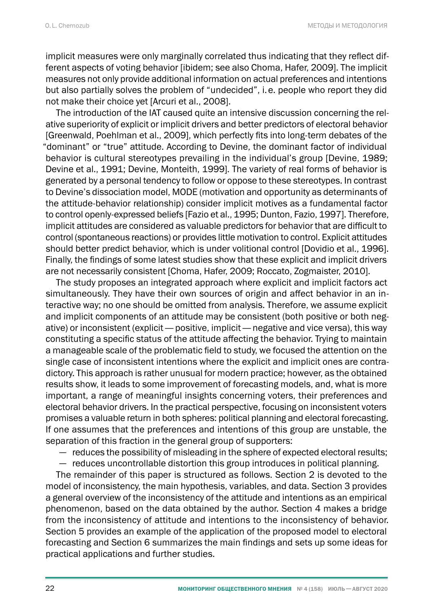implicit measures were only marginally correlated thus indicating that they reflect different aspects of voting behavior [ibidem; see also Choma, Hafer, 2009]. The implicit measures not only provide additional information on actual preferences and intentions but also partially solves the problem of "undecided", i.e. people who report they did not make their choice yet [Arcuri et al., 2008].

The introduction of the IAT caused quite an intensive discussion concerning the relative superiority of explicit or implicit drivers and better predictors of electoral behavior [Greenwald, Poehlman et al., 2009], which perfectly fits into long-term debates of the "dominant" or "true" attitude. According to Devine, the dominant factor of individual behavior is cultural stereotypes prevailing in the individual's group [Devine, 1989; Devine et al., 1991; Devine, Monteith, 1999]. The variety of real forms of behavior is generated by a personal tendency to follow or oppose to these stereotypes. In contrast to Devine's dissociation model, MODE (motivation and opportunity as determinants of the attitude-behavior relationship) consider implicit motives as a fundamental factor to control openly-expressed beliefs [Fazio et al., 1995; Dunton, Fazio, 1997]. Therefore, implicit attitudes are considered as valuable predictors for behavior that are difficult to control (spontaneous reactions) or provides little motivation to control. Explicit attitudes should better predict behavior, which is under volitional control [Dovidio et al., 1996]. Finally, the findings of some latest studies show that these explicit and implicit drivers are not necessarily consistent [Choma, Hafer, 2009; Roccato, Zogmaister, 2010].

The study proposes an integrated approach where explicit and implicit factors act simultaneously. They have their own sources of origin and affect behavior in an interactive way; no one should be omitted from analysis. Therefore, we assume explicit and implicit components of an attitude may be consistent (both positive or both negative) or inconsistent (explicit— positive, implicit— negative and vice versa), this way constituting a specific status of the attitude affecting the behavior. Trying to maintain a manageable scale of the problematic field to study, we focused the attention on the single case of inconsistent intentions where the explicit and implicit ones are contradictory. This approach is rather unusual for modern practice; however, as the obtained results show, it leads to some improvement of forecasting models, and, what is more important, a range of meaningful insights concerning voters, their preferences and electoral behavior drivers. In the practical perspective, focusing on inconsistent voters promises a valuable return in both spheres: political planning and electoral forecasting. If one assumes that the preferences and intentions of this group are unstable, the separation of this fraction in the general group of supporters:

— reduces the possibility of misleading in the sphere of expected electoral results;

— reduces uncontrollable distortion this group introduces in political planning.

The remainder of this paper is structured as follows. Section 2 is devoted to the model of inconsistency, the main hypothesis, variables, and data. Section 3 provides a general overview of the inconsistency of the attitude and intentions as an empirical phenomenon, based on the data obtained by the author. Section 4 makes a bridge from the inconsistency of attitude and intentions to the inconsistency of behavior. Section 5 provides an example of the application of the proposed model to electoral forecasting and Section 6 summarizes the main findings and sets up some ideas for practical applications and further studies.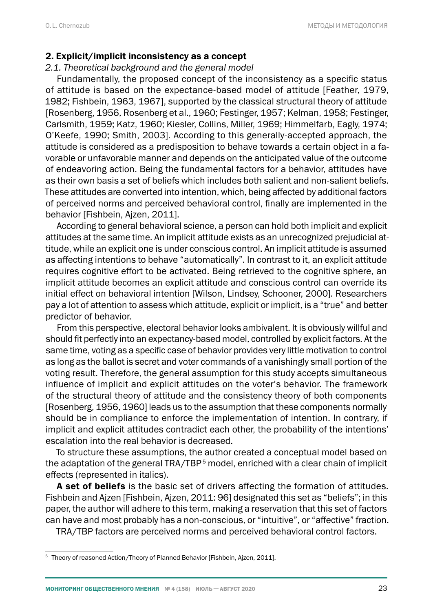#### 2. Explicit/implicit inconsistency as a concept

#### *2.1. Theoretical background and the general model*

Fundamentally, the proposed concept of the inconsistency as a specific status of attitude is based on the expectance-based model of attitude [Feather, 1979, 1982; Fishbein, 1963, 1967], supported by the classical structural theory of attitude [Rosenberg, 1956, Rosenberg et al., 1960; Festinger, 1957; Kelman, 1958; Festinger, Carlsmith, 1959; Katz, 1960; Kiesler, Collins, Miller, 1969; Himmelfarb, Eagly, 1974; O'Keefe, 1990; Smith, 2003]. According to this generally-accepted approach, the attitude is considered as a predisposition to behave towards a certain object in a favorable or unfavorable manner and depends on the anticipated value of the outcome of endeavoring action. Being the fundamental factors for a behavior, attitudes have as their own basis a set of beliefs which includes both salient and non-salient beliefs. These attitudes are converted into intention, which, being affected by additional factors of perceived norms and perceived behavioral control, finally are implemented in the behavior [Fishbein, Ajzen, 2011].

According to general behavioral science, a person can hold both implicit and explicit attitudes at the same time. An implicit attitude exists as an unrecognized prejudicial attitude, while an explicit one is under conscious control. An implicit attitude is assumed as affecting intentions to behave "automatically". In contrast to it, an explicit attitude requires cognitive effort to be activated. Being retrieved to the cognitive sphere, an implicit attitude becomes an explicit attitude and conscious control can override its initial effect on behavioral intention [Wilson, Lindsey, Schooner, 2000]. Researchers pay a lot of attention to assess which attitude, explicit or implicit, is a "true" and better predictor of behavior.

From this perspective, electoral behavior looks ambivalent. It is obviously willful and should fit perfectly into an expectancy-based model, controlled by explicit factors. At the same time, voting as a specific case of behavior provides very little motivation to control as long as the ballot is secret and voter commands of a vanishingly small portion of the voting result. Therefore, the general assumption for this study accepts simultaneous influence of implicit and explicit attitudes on the voter's behavior. The framework of the structural theory of attitude and the consistency theory of both components [Rosenberg, 1956, 1960] leads us to the assumption that these components normally should be in compliance to enforce the implementation of intention. In contrary, if implicit and explicit attitudes contradict each other, the probability of the intentions' escalation into the real behavior is decreased.

To structure these assumptions, the author created a conceptual model based on the adaptation of the general TRA/TBP<sup>5</sup> model, enriched with a clear chain of implicit effects (represented in italics).

A set of beliefs is the basic set of drivers affecting the formation of attitudes. Fishbein and Ajzen [Fishbein, Ajzen, 2011: 96] designated this set as "beliefs"; in this paper, the author will adhere to this term, making a reservation that this set of factors can have and most probably has a non-conscious, or "intuitive", or "affective" fraction.

TRA/TBP factors are perceived norms and perceived behavioral control factors.

<sup>&</sup>lt;sup>5</sup> Theory of reasoned Action/Theory of Planned Behavior [Fishbein, Ajzen, 2011].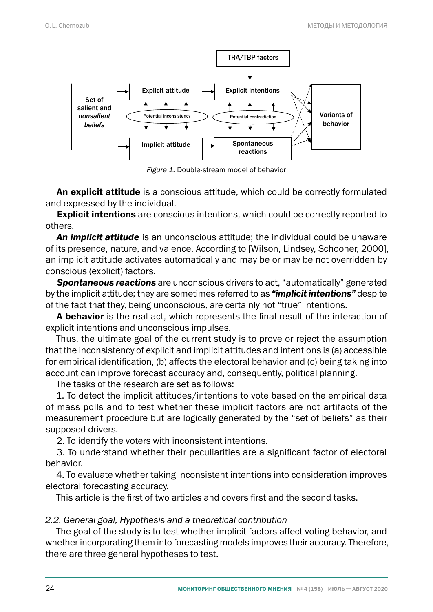

*Figure 1. Double-stream model of behavior Figure 1.* Double-stream model of behavior

An explicit attitude is a conscious attitude, which could be correctly formulated and expressed by the individual.

 $\frac{1}{2}$  designation and this set as  $\frac{1}{2}$  designated this paper, the author will adhere to this paper, the author will adhere to this paper, the author will adhere to this paper, the author will add to this paper, t **Explicit intentions** are conscious intentions, which could be correctly reported to<br>..... others.

An implicit attitude is an unconscious attitude; the individual could be unaware of its presence, nature, and valence. According to [Wilson, Lindsey, Schooner, 2000], an implicit attitude activates automatically and may be or may be not overridden by conscious (explicit) factors.

**Spontaneous reactions** are unconscious drivers to act, "automatically" generated by the implicit attitude; they are sometimes referred to as **"implicit intentions"** despite of the fact that they, being unconscious, are certainly not "true" intentions.

A behavior is the real act, which represents the final result of the interaction of explicit intentions and unconscious impulses.

Thus, the ultimate goal of the current study is to prove or reject the assumption that the inconsistency of explicit and implicit attitudes and intentions is (a) accessible for empined rechtmedton, (b) ancets the efectoral behavior and (b) being taking interaction, (b) ancets the effection of explicit of the interaction of  $\alpha$ for empirical identification, (b) affects the electoral behavior and (c) being taking into

bounced improve reredded assertacy and, ex-

1. To detect the implicit attitudes/intentions to vote based on the empirical data of mass polls and to test whether these implicit factors are not artifacts of the measurement procedure but are logically generated by the "set of beliefs" as their supposed drivers.

2. To identify the voters with inconsistent intentions.

3. To understand whether their peculiarities are a significant factor of electoral and to test whether these implicit factors are not artifacts of the measurement procedure but are not are not are not are not are not are not are not are not are not are not are not are not are not are not are not are not behavior.

4. To evaluate whether taking inconsistent intentions into consideration improves electoral forecasting accuracy.

This article is the first of two articles and covers first and the second tasks.

## *2.2. General goal, Hypothesis and a theoretical contribution*

The goal of the study is to test whether implicit factors affect voting behavior, and whether incorporating them into forecasting models improves their accuracy. Therefore, there are three general hypotheses to test.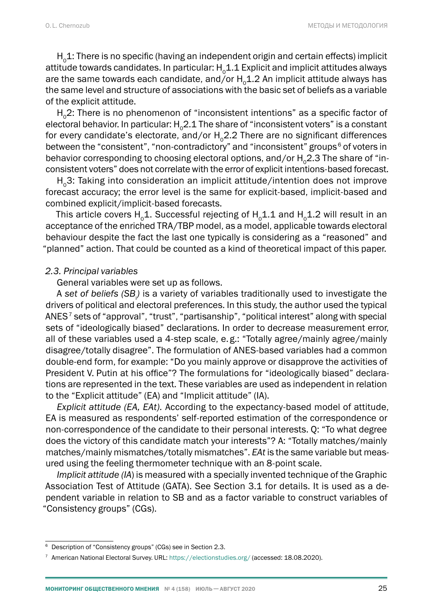$H_0$ 1: There is no specific (having an independent origin and certain effects) implicit attitude towards candidates. In particular:  $H_01.1$  Explicit and implicit attitudes always are the same towards each candidate, and/or  $H_0$ 1.2 An implicit attitude always has the same level and structure of associations with the basic set of beliefs as a variable of the explicit attitude.

 $H<sub>o</sub>2$ : There is no phenomenon of "inconsistent intentions" as a specific factor of electoral behavior. In particular: H<sub>0</sub>2.1 The share of "inconsistent voters" is a constant for every candidate's electorate, and/or  $H_0^2$ . There are no significant differences between the "consistent", "non-contradictory" and "inconsistent" groups<sup>6</sup> of voters in behavior corresponding to choosing electoral options, and/or  $H_02.3$  The share of "inconsistent voters" does not correlate with the error of explicit intentions-based forecast.

 $H<sub>0</sub>$ 3: Taking into consideration an implicit attitude/intention does not improve forecast accuracy; the error level is the same for explicit-based, implicit-based and combined explicit/implicit-based forecasts.

This article covers H<sub>0</sub>1. Successful rejecting of H<sub>0</sub>1.1 and H<sub>0</sub>1.2 will result in an acceptance of the enriched TRA/TBP model, as a model, applicable towards electoral behaviour despite the fact the last one typically is considering as a "reasoned" and "planned" action. That could be counted as a kind of theoretical impact of this paper.

#### *2.3. Principal variables*

General variables were set up as follows.

A set of beliefs (SB<sub>i</sub>) is a variety of variables traditionally used to investigate the drivers of political and electoral preferences. In this study, the author used the typical ANES<sup>7</sup> sets of "approval", "trust", "partisanship", "political interest" along with special sets of "ideologically biased" declarations. In order to decrease measurement error, all of these variables used a 4-step scale, e.g.: "Totally agree/mainly agree/mainly disagree/totally disagree". The formulation of ANES-based variables had a common double-end form, for example: "Do you mainly approve or disapprove the activities of President V. Putin at his office"? The formulations for "ideologically biased" declarations are represented in the text. These variables are used as independent in relation to the "Explicit attitude" (EA) and "Implicit attitude" (IA).

*Explicit attitude (EA, EAt).* According to the expectancy-based model of attitude, EA is measured as respondents' self-reported estimation of the correspondence or non-correspondence of the candidate to their personal interests. Q: "To what degree does the victory of this candidate match your interests"? A: "Totally matches/mainly matches/mainly mismatches/totally mismatches". *EAt* is the same variable but measured using the feeling thermometer technique with an 8-point scale.

*Implicit attitude (IA*) is measured with a specially invented technique of the Graphic Association Test of Attitude (GATA). See Section 3.1 for details. It is used as a dependent variable in relation to SB and as a factor variable to construct variables of "Consistency groups" (CGs).

<sup>&</sup>lt;sup>6</sup> Description of "Consistency groups" (CGs) see in Section 2.3.

<sup>&</sup>lt;sup>7</sup> American National Electoral Survey. URL: <https://electionstudies.org/>(accessed: 18.08.2020).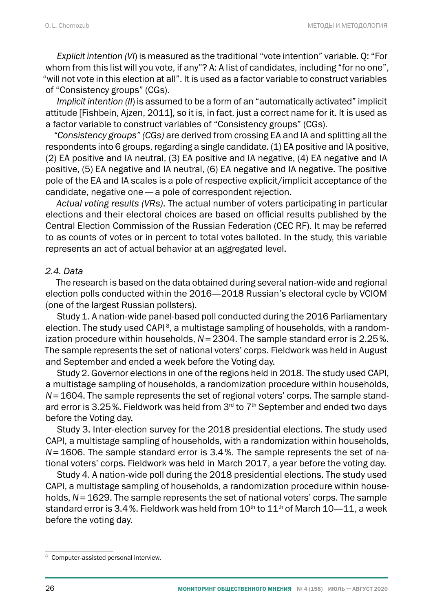*Explicit intention (VI*) is measured as the traditional "vote intention" variable. Q: "For whom from this list will you vote, if any"? A: A list of candidates, including "for no one", "will not vote in this election at all". It is used as a factor variable to construct variables of "Consistency groups" (CGs).

*Implicit intention (II*) is assumed to be a form of an "automatically activated" implicit attitude [Fishbein, Ajzen, 2011], so it is, in fact, just a correct name for it. It is used as a factor variable to construct variables of "Consistency groups" (CGs).

*"Consistency groups" (CGs)* are derived from crossing EA and IA and splitting all the respondents into 6 groups, regarding a single candidate. (1) EA positive and IA positive, (2) EA positive and IA neutral, (3) EA positive and IA negative, (4) EA negative and IA positive, (5) EA negative and IA neutral, (6) EA negative and IA negative. The positive pole of the EA and IA scales is a pole of respective explicit/implicit acceptance of the candidate, negative one— a pole of correspondent rejection.

*Actual voting results (VRs)*. The actual number of voters participating in particular elections and their electoral choices are based on official results published by the Central Election Commission of the Russian Federation (CEC RF). It may be referred to as counts of votes or in percent to total votes balloted. In the study, this variable represents an act of actual behavior at an aggregated level.

#### *2.4. Data*

The research is based on the data obtained during several nation-wide and regional election polls conducted within the 2016—2018 Russian's electoral cycle by VCIOM (one of the largest Russian pollsters).

Study 1. A nation-wide panel-based poll conducted during the 2016 Parliamentary election. The study used  $CAPI<sup>8</sup>$ , a multistage sampling of households, with a randomization procedure within households, *N*=2304. The sample standard error is 2.25%. The sample represents the set of national voters' corps. Fieldwork was held in August and September and ended a week before the Voting day.

Study 2. Governor elections in one of the regions held in 2018. The study used CAPI, a multistage sampling of households, a randomization procedure within households, *N*=1604. The sample represents the set of regional voters' corps. The sample standard error is 3.25%. Fieldwork was held from  $3<sup>rd</sup>$  to  $7<sup>th</sup>$  September and ended two days before the Voting day.

Study 3. Inter-election survey for the 2018 presidential elections. The study used CAPI, a multistage sampling of households, with a randomization within households, *N*=1606. The sample standard error is 3.4%. The sample represents the set of national voters' corps. Fieldwork was held in March 2017, a year before the voting day.

Study 4. A nation-wide poll during the 2018 presidential elections. The study used CAPI, a multistage sampling of households, a randomization procedure within households, *N*=1629. The sample represents the set of national voters' corps. The sample standard error is 3.4%. Fieldwork was held from  $10<sup>th</sup>$  to  $11<sup>th</sup>$  of March 10–11, a week before the voting day.

<sup>8</sup> Computer-assisted personal interview.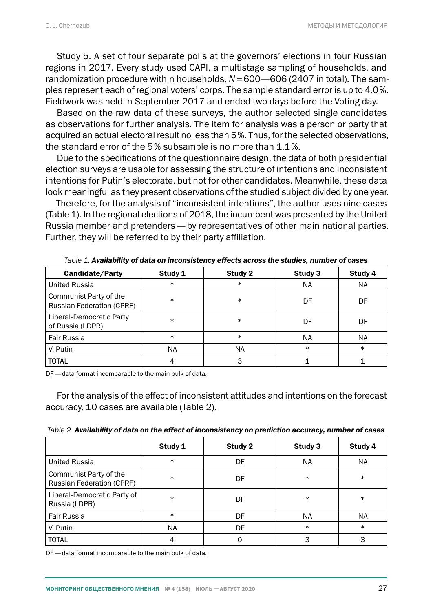Study 5. A set of four separate polls at the governors' elections in four Russian regions in 2017. Every study used CAPI, a multistage sampling of households, and randomization procedure within households, *N*=600—606 (2407 in total). The samples represent each of regional voters' corps. The sample standard error is up to 4.0%. Fieldwork was held in September 2017 and ended two days before the Voting day.

Based on the raw data of these surveys, the author selected single candidates as observations for further analysis. The item for analysis was a person or party that acquired an actual electoral result no less than 5%. Thus, for the selected observations, the standard error of the 5% subsample is no more than 1.1%.

Due to the specifications of the questionnaire design, the data of both presidential election surveys are usable for assessing the structure of intentions and inconsistent intentions for Putin's electorate, but not for other candidates. Meanwhile, these data look meaningful as they present observations of the studied subject divided by one year.

Therefore, for the analysis of "inconsistent intentions", the author uses nine cases (Table 1). In the regional elections of 2018, the incumbent was presented by the United Russia member and pretenders— by representatives of other main national parties. Further, they will be referred to by their party affiliation.

| <b>Candidate/Party</b>                              | Study 1 | Study 2 | Study 3 | Study 4   |
|-----------------------------------------------------|---------|---------|---------|-----------|
| <b>United Russia</b>                                | $\ast$  | $\ast$  | NA      | NA.       |
| Communist Party of the<br>Russian Federation (CPRF) | $\ast$  | $\ast$  | DF      | DF        |
| Liberal-Democratic Party<br>of Russia (LDPR)        | $\ast$  | $\ast$  | DF      | DF        |
| Fair Russia                                         | $\ast$  | $\ast$  | NA      | <b>NA</b> |
| V. Putin                                            | NA      | NA      | $\ast$  | $\ast$    |
| <b>TOTAL</b>                                        |         | 3       |         |           |

*Table 1. Availability of data on inconsistency effects across the studies, number of cases*

DF— data format incomparable to the main bulk of data.

For the analysis of the effect of inconsistent attitudes and intentions on the forecast accuracy, 10 cases are available (Table 2).

| Table 2. Availability of data on the effect of inconsistency on prediction accuracy, number of cases |  |  |
|------------------------------------------------------------------------------------------------------|--|--|
|------------------------------------------------------------------------------------------------------|--|--|

|                                                     | Study 1 | Study 2 | Study 3   | Study 4 |
|-----------------------------------------------------|---------|---------|-----------|---------|
| <b>United Russia</b>                                | $\ast$  | DF      | <b>NA</b> | NA.     |
| Communist Party of the<br>Russian Federation (CPRF) | $\ast$  | DF      | $\ast$    | $\ast$  |
| Liberal-Democratic Party of<br>Russia (LDPR)        | $\ast$  | DF      | $\ast$    | $\ast$  |
| Fair Russia                                         | $\ast$  | DF      | <b>NA</b> | NA      |
| V. Putin                                            | NA.     | DF      | $\ast$    | $\ast$  |
| <b>TOTAL</b>                                        |         | 0       |           |         |

DF— data format incomparable to the main bulk of data.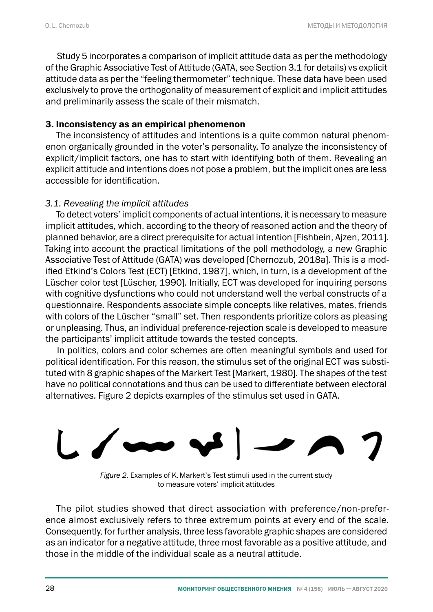Study 5 incorporates a comparison of implicit attitude data as per the methodology of the Graphic Associative Test of Attitude (GATA, see Section 3.1 for details) vs explicit attitude data as per the "feeling thermometer" technique. These data have been used exclusively to prove the orthogonality of measurement of explicit and implicit attitudes and preliminarily assess the scale of their mismatch.

## 3. Inconsistency as an empirical phenomenon

The inconsistency of attitudes and intentions is a quite common natural phenomenon organically grounded in the voter's personality. To analyze the inconsistency of explicit/implicit factors, one has to start with identifying both of them. Revealing an explicit attitude and intentions does not pose a problem, but the implicit ones are less accessible for identification.

## *3.1. Revealing the implicit attitudes*

To detect voters' implicit components of actual intentions, it is necessary to measure implicit attitudes, which, according to the theory of reasoned action and the theory of planned behavior, are a direct prerequisite for actual intention [Fishbein, Ajzen, 2011]. Taking into account the practical limitations of the poll methodology, a new Graphic Associative Test of Attitude (GATA) was developed [Chernozub, 2018a]. This is a modified Etkind's Colors Test (ECT) [Etkind, 1987], which, in turn, is a development of the med Enning of Color test (European, Tenning, 2001, Thus, and then, and accomplished the and the European color with cognitive dysfunctions who could not understand well the verbal constructs of a questionnaire. Respondents associate simple concepts like relatives, mates, friends questionmane. Respondents associate simple concepts interferances, mates, merids<br>with colors of the Lüscher "small" set. Then respondents prioritize colors as pleasing or unpleasing. Thus, an individual preference-rejection scale is developed to measure the participants' implicit attitude towards the tested concepts.

ine participants implicit attitude towards the tested concepts.<br>In politics, colors and color schemes are often meaningful symbols and used for political identification. For this reason, the stimulus set of the original ECT was substituted with 8 graphic shapes of the Markert Test [Markert, 1980]. The shapes of the test have no political connotations and thus can be used to differentiate between electoral alternatives. Figure 2 depicts examples of the stimulus set used in GATA.



*Figure 2. Examples of K. Markert's Test stimuli used in the current study*<br>*to measure voters' implisit attitude implicit attitudes*  to measure voters' implicit attitudes

ence almost exclusively felets to three extremum points at every end of the scale.<br>Consequently, for further analysis, three less favorable graphic shapes are considered as an indicator for a negative attitude, three most favorable as a positive attitude, and those in the middle of the individual scale as a neutral attitude. The pilot studies showed that direct association with preference/non-preference almost exclusively refers to three extremum points at every end of the scale.

three most favorable as a positive attitude, and those in the middle of the individual scale as a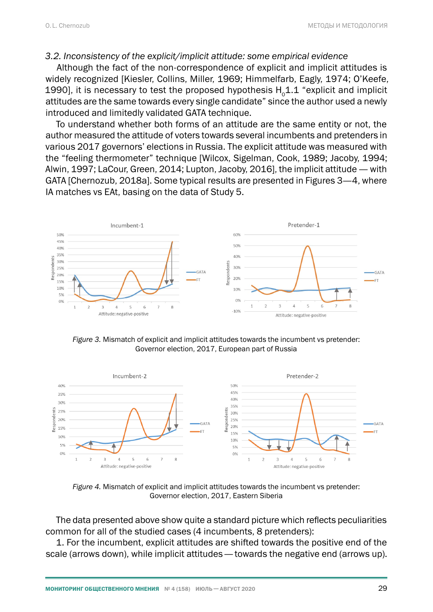#### *3.2. Inconsistency of the explicit/implicit attitude: some empirical evidence*

Although the fact of the non-correspondence of explicit and implicit attitudes is widely recognized [Kiesler, Collins, Miller, 1969; Himmelfarb, Eagly, 1974; O'Keefe, 1990], it is necessary to test the proposed hypothesis  $H_0$ 1.1 "explicit and implicit attitudes are the same towards every single candidate" since the author used a newly introduced and limitedly validated GATA technique.

To understand whether both forms of an attitude are the same entity or not, the author measured the attitude of voters towards several incumbents and pretenders in addior measured the attitude of voters towards several incumbents and pretenders in<br>various 2017 governors' elections in Russia. The explicit attitude was measured with the "feeling thermometer" technique [Wilcox, Sigelman, Cook, 1989; Jacoby, 1994; Alwin, 1997; LaCour, Green, 2014; Lupton, Jacoby, 2016], the implicit attitude — with GATA [Chernozub, 2018a]. Some typical results are presented in Figures 3—4, where IA matches vs EAt, basing on the data of Study 5.



*Figure 3.* Mismatch of explicit and implicit attitudes towards the incumbent vs pretender: Governor election, 2017, European part of Russia



*Figure 4.* Mismatch of explicit and implicit attitudes towards the incumbent vs pretender: Governor election, 2017, Eastern Siberia

*Figure 4. Mismatch of explicit and implicit attitudes towards the incumbent vs pretender:*  common for all of the studied cases (4 incumbents, 8 pretenders): The data presented above show quite a standard picture which reflects peculiarities

1. For the incumbent, explicit attitudes are shifted towards the positive end of the scale (arrows down), while implicit attitudes— towards the negative end (arrows up).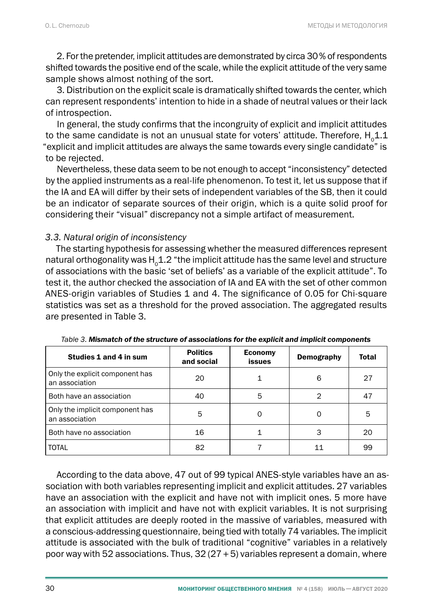2. For the pretender, implicit attitudes are demonstrated by circa 30% of respondents shifted towards the positive end of the scale, while the explicit attitude of the very same sample shows almost nothing of the sort.

3. Distribution on the explicit scale is dramatically shifted towards the center, which can represent respondents' intention to hide in a shade of neutral values or their lack of introspection.

In general, the study confirms that the incongruity of explicit and implicit attitudes to the same candidate is not an unusual state for voters' attitude. Therefore,  $H_01.1$ "explicit and implicit attitudes are always the same towards every single candidate" is to be rejected.

Nevertheless, these data seem to be not enough to accept "inconsistency" detected by the applied instruments as a real-life phenomenon. To test it, let us suppose that if the IA and EA will differ by their sets of independent variables of the SB, then it could be an indicator of separate sources of their origin, which is a quite solid proof for considering their "visual" discrepancy not a simple artifact of measurement.

## *3.3. Natural origin of inconsistency*

The starting hypothesis for assessing whether the measured differences represent natural orthogonality was  $H_0$ 1.2 "the implicit attitude has the same level and structure of associations with the basic 'set of beliefs' as a variable of the explicit attitude". To test it, the author checked the association of IA and EA with the set of other common ANES-origin variables of Studies 1 and 4. The significance of 0.05 for Chi-square statistics was set as a threshold for the proved association. The aggregated results are presented in Table 3.

| Studies 1 and 4 in sum                            | <b>Politics</b><br>and social | <b>Economy</b><br>issues | Demography | <b>Total</b> |
|---------------------------------------------------|-------------------------------|--------------------------|------------|--------------|
| Only the explicit component has<br>an association | 20                            |                          | 6          | 27           |
| Both have an association                          | 40                            | 5                        | っ          | 47           |
| Only the implicit component has<br>an association | 5                             | $\Omega$                 |            | 5            |
| Both have no association                          | 16                            |                          | 3          | 20           |
| <b>TOTAL</b>                                      | 82                            |                          | 11         | 99           |

*Table 3. Mismatch of the structure of associations for the explicit and implicit components*

According to the data above, 47 out of 99 typical ANES-style variables have an association with both variables representing implicit and explicit attitudes. 27 variables have an association with the explicit and have not with implicit ones. 5 more have an association with implicit and have not with explicit variables. It is not surprising that explicit attitudes are deeply rooted in the massive of variables, measured with a conscious-addressing questionnaire, being tied with totally 74 variables. The implicit attitude is associated with the bulk of traditional "cognitive" variables in a relatively poor way with 52 associations. Thus,  $32(27+5)$  variables represent a domain, where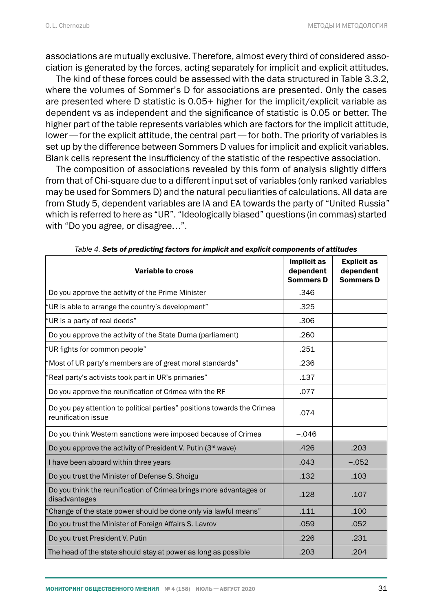associations are mutually exclusive. Therefore, almost every third of considered association is generated by the forces, acting separately for implicit and explicit attitudes.

The kind of these forces could be assessed with the data structured in Table 3.3.2, where the volumes of Sommer's D for associations are presented. Only the cases are presented where D statistic is 0.05+ higher for the implicit/explicit variable as dependent vs as independent and the significance of statistic is 0.05 or better. The higher part of the table represents variables which are factors for the implicit attitude, lower— for the explicit attitude, the central part— for both. The priority of variables is set up by the difference between Sommers D values for implicit and explicit variables. Blank cells represent the insufficiency of the statistic of the respective association.

The composition of associations revealed by this form of analysis slightly differs from that of Chi-square due to a different input set of variables (only ranked variables may be used for Sommers D) and the natural peculiarities of calculations. All data are from Study 5, dependent variables are IA and EA towards the party of "United Russia" which is referred to here as "UR". "Ideologically biased" questions (in commas) started with "Do you agree, or disagree…".

| rable 4. Jets of predicting factors for implicit and explicit components or attitudes          |                                              |                                                     |  |  |  |  |
|------------------------------------------------------------------------------------------------|----------------------------------------------|-----------------------------------------------------|--|--|--|--|
| Variable to cross                                                                              | Implicit as<br>dependent<br><b>Sommers D</b> | <b>Explicit as</b><br>dependent<br><b>Sommers D</b> |  |  |  |  |
| Do you approve the activity of the Prime Minister                                              | .346                                         |                                                     |  |  |  |  |
| "UR is able to arrange the country's development"                                              | .325                                         |                                                     |  |  |  |  |
| "UR is a party of real deeds"                                                                  | .306                                         |                                                     |  |  |  |  |
| Do you approve the activity of the State Duma (parliament)                                     | .260                                         |                                                     |  |  |  |  |
| "UR fights for common people"                                                                  | .251                                         |                                                     |  |  |  |  |
| 'Most of UR party's members are of great moral standards"                                      | .236                                         |                                                     |  |  |  |  |
| 'Real party's activists took part in UR's primaries"                                           | .137                                         |                                                     |  |  |  |  |
| Do you approve the reunification of Crimea with the RF                                         | .077                                         |                                                     |  |  |  |  |
| Do you pay attention to political parties" positions towards the Crimea<br>reunification issue | .074                                         |                                                     |  |  |  |  |
| Do you think Western sanctions were imposed because of Crimea                                  | $-.046$                                      |                                                     |  |  |  |  |
| Do you approve the activity of President V. Putin (3rd wave)                                   | .426                                         | .203                                                |  |  |  |  |
| I have been aboard within three years                                                          | .043                                         | $-.052$                                             |  |  |  |  |
| Do you trust the Minister of Defense S. Shoigu                                                 | .132                                         | .103                                                |  |  |  |  |
| Do you think the reunification of Crimea brings more advantages or<br>disadvantages            | .128                                         | .107                                                |  |  |  |  |
| 'Change of the state power should be done only via lawful means"                               | .111                                         | .100                                                |  |  |  |  |
| Do you trust the Minister of Foreign Affairs S. Lavrov                                         | .059                                         | .052                                                |  |  |  |  |
| Do you trust President V. Putin                                                                | .226                                         | .231                                                |  |  |  |  |
| The head of the state should stay at power as long as possible                                 | .203                                         | .204                                                |  |  |  |  |

*Table 4. Sets of predicting factors for implicit and explicit components of attitudes*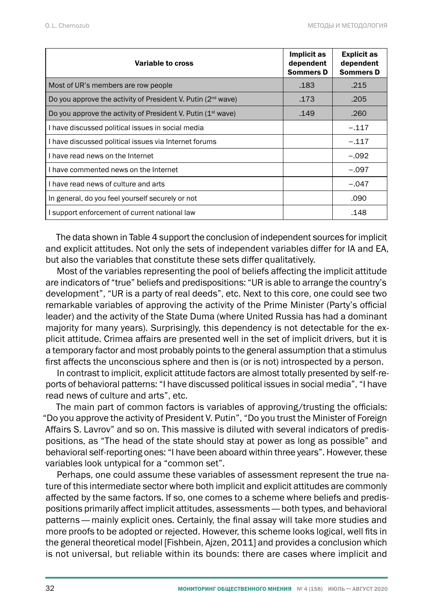| Variable to cross                                                        | Implicit as<br>dependent<br><b>Sommers D</b> | <b>Explicit as</b><br>dependent<br><b>Sommers D</b> |
|--------------------------------------------------------------------------|----------------------------------------------|-----------------------------------------------------|
| Most of UR's members are row people                                      | .183                                         | .215                                                |
| Do you approve the activity of President V. Putin (2 <sup>nd</sup> wave) | .173                                         | .205                                                |
| Do you approve the activity of President V. Putin $(1^{st}$ wave)        | .149                                         | .260                                                |
| I have discussed political issues in social media                        |                                              | $-.117$                                             |
| I have discussed political issues via Internet forums                    |                                              | $-.117$                                             |
| I have read news on the Internet                                         |                                              | $-.092$                                             |
| I have commented news on the Internet                                    |                                              | $-.097$                                             |
| I have read news of culture and arts                                     |                                              | $-.047$                                             |
| In general, do you feel yourself securely or not                         |                                              | .090                                                |
| I support enforcement of current national law                            |                                              | .148                                                |

The data shown in Table 4 support the conclusion of independent sources for implicit and explicit attitudes. Not only the sets of independent variables differ for IA and EA, but also the variables that constitute these sets differ qualitatively.

Most of the variables representing the pool of beliefs affecting the implicit attitude are indicators of "true" beliefs and predispositions: "UR is able to arrange the country's development", "UR is a party of real deeds", etc. Next to this core, one could see two remarkable variables of approving the activity of the Prime Minister (Party's official leader) and the activity of the State Duma (where United Russia has had a dominant majority for many years). Surprisingly, this dependency is not detectable for the explicit attitude. Crimea affairs are presented well in the set of implicit drivers, but it is a temporary factor and most probably points to the general assumption that a stimulus first affects the unconscious sphere and then is (or is not) introspected by a person.

In contrast to implicit, explicit attitude factors are almost totally presented by self-reports of behavioral patterns: "I have discussed political issues in social media", "I have read news of culture and arts", etc.

The main part of common factors is variables of approving/trusting the officials: "Do you approve the activity of President V. Putin", "Do you trust the Minister of Foreign Affairs S. Lavrov" and so on. This massive is diluted with several indicators of predispositions, as "The head of the state should stay at power as long as possible" and behavioral self-reporting ones: "I have been aboard within three years". However, these variables look untypical for a "common set".

Perhaps, one could assume these variables of assessment represent the true nature of this intermediate sector where both implicit and explicit attitudes are commonly affected by the same factors. If so, one comes to a scheme where beliefs and predispositions primarily affect implicit attitudes, assessments— both types, and behavioral patterns— mainly explicit ones. Certainly, the final assay will take more studies and more proofs to be adopted or rejected. However, this scheme looks logical, well fits in the general theoretical model [Fishbein, Ajzen, 2011] and provides a conclusion which is not universal, but reliable within its bounds: there are cases where implicit and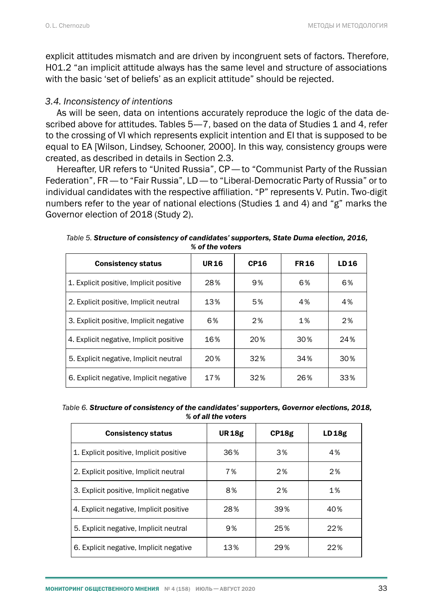explicit attitudes mismatch and are driven by incongruent sets of factors. Therefore, H01.2 "an implicit attitude always has the same level and structure of associations with the basic 'set of beliefs' as an explicit attitude" should be rejected.

#### *3.4. Inconsistency of intentions*

As will be seen, data on intentions accurately reproduce the logic of the data described above for attitudes. Tables 5—7, based on the data of Studies 1 and 4, refer to the crossing of VI which represents explicit intention and EI that is supposed to be equal to EA [Wilson, Lindsey, Schooner, 2000]. In this way, consistency groups were created, as described in details in Section 2.3.

Hereafter, UR refers to "United Russia", CP— to "Communist Party of the Russian Federation", FR— to "Fair Russia", LD— to "Liberal-Democratic Party of Russia" or to individual candidates with the respective affiliation. "P" represents V. Putin. Two-digit numbers refer to the year of national elections (Studies 1 and 4) and "g" marks the Governor election of 2018 (Study 2).

| <b>Consistency status</b>               | <b>UR16</b> | <b>CP16</b> | <b>FR16</b> | LD16 |
|-----------------------------------------|-------------|-------------|-------------|------|
| 1. Explicit positive, Implicit positive | 28%         | 9%          | 6%          | 6%   |
| 2. Explicit positive, Implicit neutral  | 13%         | 5%          | 4%          | 4%   |
| 3. Explicit positive, Implicit negative | 6%          | 2%          | 1%          | 2%   |
| 4. Explicit negative, Implicit positive | 16%         | 20%         | 30%         | 24%  |
| 5. Explicit negative, Implicit neutral  | 20%         | 32%         | 34%         | 30%  |
| 6. Explicit negative, Implicit negative | 17%         | 32%         | 26%         | 33%  |

*Table 5. Structure of consistency of candidates' supporters, State Duma election, 2016, % of the voters*

| Table 6. Structure of consistency of the candidates' supporters, Governor elections, 2018, |
|--------------------------------------------------------------------------------------------|
| % of all the voters                                                                        |

| <b>Consistency status</b>               | <b>UR18g</b> | CP18g | LD18g |
|-----------------------------------------|--------------|-------|-------|
| 1. Explicit positive, Implicit positive | 36%          | 3%    | 4%    |
| 2. Explicit positive, Implicit neutral  | 7%           | 2%    | 2%    |
| 3. Explicit positive, Implicit negative | 8%           | 2%    | 1%    |
| 4. Explicit negative, Implicit positive | 28%          | 39%   | 40%   |
| 5. Explicit negative, Implicit neutral  | 9%           | 25%   | 22%   |
| 6. Explicit negative, Implicit negative | 13%          | 29%   | 22%   |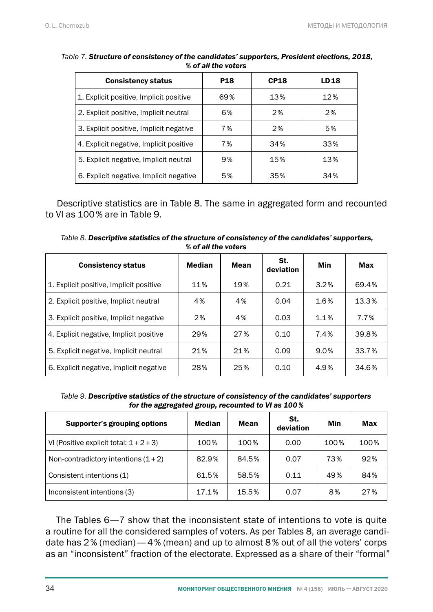| <b>Consistency status</b>               | <b>P18</b> | <b>CP18</b> | LD 18 |
|-----------------------------------------|------------|-------------|-------|
| 1. Explicit positive, Implicit positive | 69%        | 13%         | 12%   |
| 2. Explicit positive, Implicit neutral  | 6%         | 2%          | 2%    |
| 3. Explicit positive, Implicit negative | 7%         | 2%          | 5%    |
| 4. Explicit negative, Implicit positive | 7%         | 34%         | 33%   |
| 5. Explicit negative, Implicit neutral  | 9%         | 15%         | 13%   |
| 6. Explicit negative, Implicit negative | 5%         | 35%         | 34%   |

#### *Table 7. Structure of consistency of the candidates' supporters, President elections, 2018, % of all the voters*

Descriptive statistics are in Table 8. The same in aggregated form and recounted to VI as 100% are in Table 9.

*Table 8. Descriptive statistics of the structure of consistency of the candidates' supporters, % of all the voters*

| <b>Consistency status</b>               | Median | Mean | St.<br>deviation | Min  | Max   |
|-----------------------------------------|--------|------|------------------|------|-------|
| 1. Explicit positive, Implicit positive | 11%    | 19%  | 0.21             | 3.2% | 69.4% |
| 2. Explicit positive, Implicit neutral  | 4%     | 4%   | 0.04             | 1.6% | 13.3% |
| 3. Explicit positive, Implicit negative | 2%     | 4%   | 0.03             | 1.1% | 7.7%  |
| 4. Explicit negative, Implicit positive | 29%    | 27%  | 0.10             | 7.4% | 39.8% |
| 5. Explicit negative, Implicit neutral  | 21%    | 21%  | 0.09             | 9.0% | 33.7% |
| 6. Explicit negative, Implicit negative | 28%    | 25%  | 0.10             | 4.9% | 34.6% |

*Table 9. Descriptive statistics of the structure of consistency of the candidates' supporters for the aggregated group, recounted to VI as 100%*

| Supporter's grouping options           | <b>Median</b> | Mean  | St.<br>deviation | Min  | Max  |
|----------------------------------------|---------------|-------|------------------|------|------|
| VI (Positive explicit total: $1+2+3$ ) | 100%          | 100%  | 0.00             | 100% | 100% |
| Non-contradictory intentions $(1+2)$   | 82.9%         | 84.5% | 0.07             | 73%  | 92%  |
| Consistent intentions (1)              | 61.5%         | 58.5% | 0.11             | 49%  | 84%  |
| Inconsistent intentions (3)            | 17.1%         | 15.5% | 0.07             | 8%   | 27%  |

The Tables 6—7 show that the inconsistent state of intentions to vote is quite a routine for all the considered samples of voters. As per Tables 8, an average candidate has 2% (median)— 4% (mean) and up to almost 8% out of all the voters' corps as an "inconsistent" fraction of the electorate. Expressed as a share of their "formal"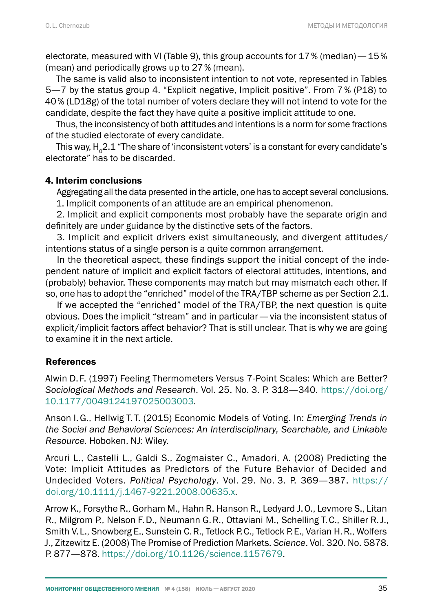electorate, measured with VI (Table 9), this group accounts for 17 % (median)  $-15\%$ (mean) and periodically grows up to 27% (mean).

The same is valid also to inconsistent intention to not vote, represented in Tables 5—7 by the status group 4. "Explicit negative, Implicit positive". From 7 % (P18) to 40% (LD18g) of the total number of voters declare they will not intend to vote for the candidate, despite the fact they have quite a positive implicit attitude to one.

Thus, the inconsistency of both attitudes and intentions is a norm for some fractions of the studied electorate of every candidate.

This way,  $H_0^2$ .1 "The share of 'inconsistent voters' is a constant for every candidate's electorate" has to be discarded.

## 4. Interim conclusions

Aggregating all the data presented in the article, one has to accept several conclusions.

1. Implicit components of an attitude are an empirical phenomenon.

2. Implicit and explicit components most probably have the separate origin and definitely are under guidance by the distinctive sets of the factors.

3. Implicit and explicit drivers exist simultaneously, and divergent attitudes/ intentions status of a single person is a quite common arrangement.

In the theoretical aspect, these findings support the initial concept of the independent nature of implicit and explicit factors of electoral attitudes, intentions, and (probably) behavior. These components may match but may mismatch each other. If so, one has to adopt the "enriched" model of the TRA/TBP scheme as per Section 2.1.

If we accepted the "enriched" model of the TRA/TBP, the next question is quite obvious. Does the implicit "stream" and in particular— via the inconsistent status of explicit/implicit factors affect behavior? That is still unclear. That is why we are going to examine it in the next article.

## **References**

Alwin D. F. (1997) Feeling Thermometers Versus 7-Point Scales: Which are Better? *Sociological Methods and Research*. Vol. 25. No. 3. P. 318—340. [https://doi.org/](https://doi.org/10.1177/0049124197025003003) [10.1177/0049124197025003003](https://doi.org/10.1177/0049124197025003003).

Anson I.G., Hellwig T. T. (2015) Economic Models of Voting. In: *Emerging Trends in the Social and Behavioral Sciences: An Interdisciplinary, Searchable, and Linkable Resource.* Hoboken, NJ: Wiley.

Arcuri L., Castelli L., Galdi S., Zogmaister C., Amadori, A. (2008) Predicting the Vote: Implicit Attitudes as Predictors of the Future Behavior of Decided and Undecided Voters. *Political Psychology*. Vol. 29. No. 3. P. 369—387. [https://](https://doi.org/10.1111/j.1467-9221.2008.00635.x) [doi.org/10.1111/j.1467-9221.2008.00635.x](https://doi.org/10.1111/j.1467-9221.2008.00635.x).

Arrow K., Forsythe R., Gorham M., Hahn R. Hanson R., Ledyard J.O., Levmore S., Litan R., Milgrom P., Nelson F.D., Neumann G.R., Ottaviani M., Schelling T.C., Shiller R.J., Smith V.L., Snowberg E., Sunstein C.R., Tetlock P.C., Tetlock P.E., Varian H.R., Wolfers J., Zitzewitz E. (2008) The Promise of Prediction Markets. *Science*. Vol. 320. No. 5878. P. 877—878. [https://doi.org/10.1126/science.1157679.](https://doi.org/10.1126/science.1157679)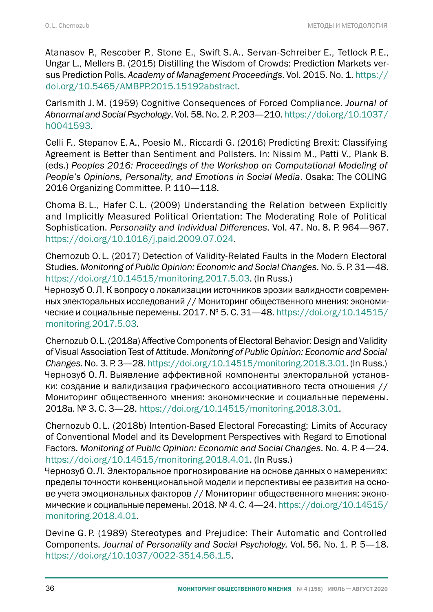Atanasov P., Rescober P., Stone E., Swift S. A., Servan-Schreiber E., Tetlock P. E., Ungar L., Mellers B. (2015) Distilling the Wisdom of Crowds: Prediction Markets versus Prediction Polls. *Academy of Management Proceedings*. Vol. 2015. No. 1. [https://](https://doi.org/10.5465/AMBPP.2015.15192abstract) [doi.org/10.5465/AMBPP.2015.15192abstract](https://doi.org/10.5465/AMBPP.2015.15192abstract).

Carlsmith J. M. (1959) Cognitive Consequences of Forced Compliance. *Journal of Abnormal and Social Psychology*. Vol. 58. No. 2. P. 203—210. [https://doi.org/10.1037/](https://doi.org/10.1037/h0041593) [h0041593.](https://doi.org/10.1037/h0041593)

Celli F., Stepanov E. A., Poesio M., Riccardi G. (2016) Predicting Brexit: Classifying Agreement is Better than Sentiment and Pollsters. In: Nissim M., Patti V., Plank B. (eds.) *Peoples 2016: Proceedings of the Workshop on Computational Modeling of People's Opinions, Personality, and Emotions in Social Media*. Osaka: The COLING 2016 Organizing Committee. P. 110—118.

Choma B. L., Hafer C. L. (2009) Understanding the Relation between Explicitly and Implicitly Measured Political Orientation: The Moderating Role of Political Sophistication. *Personality and Individual Differences*. Vol. 47. No. 8. P. 964—967. [https://doi.org/10.1016/j.paid.2009.07.024.](https://doi.org/10.1016/j.paid.2009.07.024)

Chernozub O. L. (2017) Detection of Validity-Related Faults in the Modern Electoral Studies. *Monitoring of Public Opinion: Economic and Social Changes*. No. 5. P. 31—48. [https://doi.org/10.14515/monitoring.2017.5.03.](https://doi.org/10.14515/monitoring.2017.5.03) (In Russ.)

Чернозуб О.Л. К вопросу о локализации источников эрозии валидности современных электоральных исследований // Мониторинг общественного мнения: экономические и социальные перемены. 2017. № 5. С. 31—48. [https://doi.org/10.14515/](https://doi.org/10.14515/monitoring.2017.5.03) [monitoring.2017.5.03.](https://doi.org/10.14515/monitoring.2017.5.03)

Chernozub O.L. (2018a) Affective Components of Electoral Behavior: Design and Validity of Visual Association Test of Attitude. *Monitoring of Public Opinion: Economic and Social Changes*. No. 3. P. 3—28.<https://doi.org/10.14515/monitoring.2018.3.01>. (In Russ.) Чернозуб О.Л. Выявление аффективной компоненты электоральной установки: создание и валидизация графического ассоциативного теста отношения // Мониторинг общественного мнения: экономические и социальные перемены. 2018a. № 3. С. 3—28. [https://doi.org/10.14515/monitoring.2018.3.01.](https://doi.org/10.14515/monitoring.2018.3.01)

Chernozub O. L. (2018b) Intention-Based Electoral Forecasting: Limits of Accuracy of Conventional Model and its Development Perspectives with Regard to Emotional Factors. *Monitoring of Public Opinion: Economic and Social Changes*. No. 4. P. 4—24. [https://doi.org/10.14515/monitoring.2018.4.01.](https://doi.org/10.14515/monitoring.2018.4.01) (In Russ.)

Чернозуб О.Л. Электоральное прогнозирование на основе данных о намерениях: пределы точности конвенциональной модели и перспективы ее развития на основе учета эмоциональных факторов // Мониторинг общественного мнения: экономические и социальные перемены. 2018. № 4. С. 4—24. [https://doi.org/10.14515/](https://doi.org/10.14515/monitoring.2018.4.01) [monitoring.2018.4.01.](https://doi.org/10.14515/monitoring.2018.4.01)

Devine G. P. (1989) Stereotypes and Prejudice: Their Automatic and Controlled Components. *Journal of Personality and Social Psychology.* Vol. 56. No. 1. P. 5—18. <https://doi.org/10.1037/0022-3514.56.1.5>.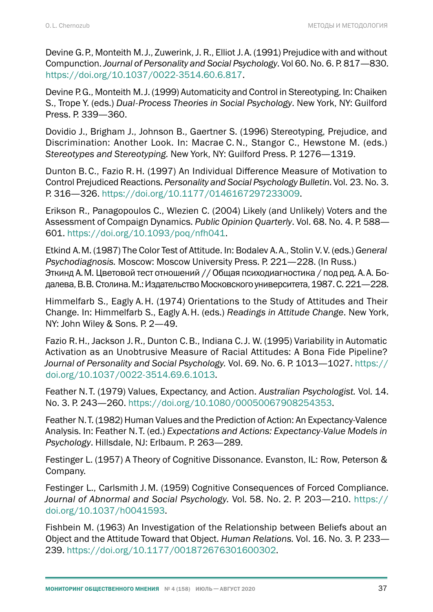Devine G.P., Monteith M.J., Zuwerink, J. R., Elliot J.A. (1991) Prejudice with and without Compunction. *Journal of Personality and Social Psychology*. Vol 60. No. 6. P. 817—830. <https://doi.org/10.1037/0022-3514.60.6.817>.

Devine P.G., Monteith M.J. (1999) Automaticity and Control in Stereotyping. In: Chaiken S., Trope Y. (eds.) *Dual-Process Theories in Social Psychology*. New York, NY: Guilford Press. P. 339—360.

Dovidio J., Brigham J., Johnson B., Gaertner S. (1996) Stereotyping, Prejudice, and Discrimination: Another Look. In: Macrae C.N., Stangor C., Hewstone M. (eds.) *Stereotypes and Stereotyping.* New York, NY: Guilford Press. Р. 1276—1319.

Dunton B.C., Fazio R.H. (1997) An Individual Difference Measure of Motivation to Control Prejudiced Reactions. *Personality and Social Psychology Bulletin*. Vol. 23. No. 3. P. 316—326.<https://doi.org/10.1177/0146167297233009>.

Erikson R., Panagopoulos C., Wlezien C. (2004) Likely (and Unlikely) Voters and the Assessment of Compaign Dynamics. *Public Opinion Quarterly*. Vol. 68. No. 4. P. 588— 601.<https://doi.org/10.1093/poq/nfh041>.

Etkind A.M. (1987) The Color Test of Attitude. In: Bodalev A.A., Stolin V.V. (eds.) *General Psychodiagnosis.* Moscow: Moscow University Press. P. 221—228. (In Russ.) Эткинд А.М. Цветовой тест отношений // Общая психодиагностика / под ред. А.А. Бодалева, В.В. Столина. М.: Издательство Московского университета, 1987. С. 221—228.

Himmelfarb S., Eagly A.H. (1974) Orientations to the Study of Attitudes and Their Change. In: Himmelfarb S., Eagly A.H. (eds.) *Readings in Attitude Change*. New York, NY: John Wiley & Sons. P. 2-49.

Fazio R.H., Jackson J.R., Dunton C.B., Indiana C.J. W. (1995) Variability in Automatic Activation as an Unobtrusive Measure of Racial Attitudes: A Bona Fide Pipeline? *Journal of Personality and Social Psychology.* Vol. 69. No. 6. P. 1013—1027. [https://](https://doi.org/10.1037/0022-3514.69.6.1013) [doi.org/10.1037/0022-3514.69.6.1013](https://doi.org/10.1037/0022-3514.69.6.1013).

Feather N. T. (1979) Values, Expectancy, and Action. *Australian Psychologist.* Vol*.* 14. No. 3. P. 243—260.<https://doi.org/10.1080/00050067908254353>.

Feather N.T. (1982) Human Values and the Prediction of Action: An Expectancy-Valence Analysis. In: Feather N. T. (ed.) *Expectations and Actions: Expectancy-Value Models in Psychology*. Hillsdale, NJ: Erlbaum. P. 263—289.

Festinger L. (1957) A Theory of Cognitive Dissonance. Evanston, IL: Row, Peterson & Company.

Festinger L., Carlsmith J.M. (1959) Cognitive Consequences of Forced Compliance. *Journal of Abnormal and Social Psychology.* Vol*.* 58. No. 2. P. 203—210. [https://](https://doi.org/10.1037/h0041593) [doi.org/10.1037/h0041593.](https://doi.org/10.1037/h0041593)

Fishbein M. (1963) An Investigation of the Relationship between Beliefs about an Object and the Attitude Toward that Object. *Human Relations.* Vol. 16. No. 3*.* P. 233— 239. [https://doi.org/10.1177/001872676301600302.](https://doi.org/10.1177/001872676301600302)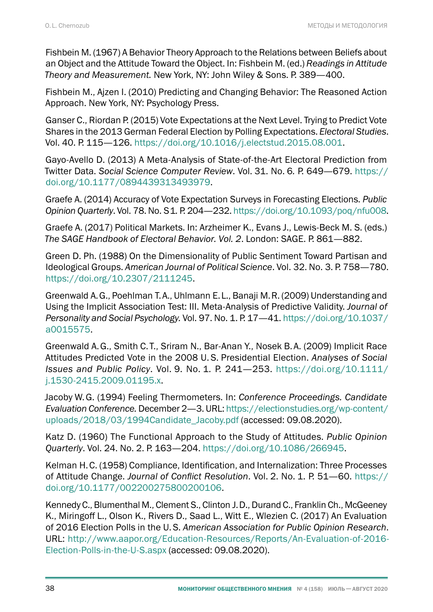Fishbein M. (1967) A Behavior Theory Approach to the Relations between Beliefs about an Object and the Attitude Toward the Object. In: Fishbein M. (ed.) *Readings in Attitude Theory and Measurement.* New York, NY: John Wiley & Sons. P. 389—400.

Fishbein M., Ajzen I. (2010) Predicting and Changing Behavior: The Reasoned Action Approach. New York, NY: Psychology Press.

Ganser C., Riordan P. (2015) Vote Expectations at the Next Level. Trying to Predict Vote Shares in the 2013 German Federal Election by Polling Expectations. *Electoral Studies*. Vol. 40. P. 115—126. [https://doi.org/10.1016/j.electstud.2015.08.001.](https://doi.org/10.1016/j.electstud.2015.08.001)

Gayo-Avello D. (2013) A Meta-Analysis of State-of-the-Art Electoral Prediction from Twitter Data. *Social Science Computer Review*. Vol. 31. No. 6*.* P. 649—679. [https://](https://doi.org/10.1177/0894439313493979) [doi.org/10.1177/0894439313493979](https://doi.org/10.1177/0894439313493979).

Graefe A. (2014) Accuracy of Vote Expectation Surveys in Forecasting Elections. *Public Opinion Quarterly*. Vol. 78. No. S1*.* P. 204—232.<https://doi.org/10.1093/poq/nfu008>.

Graefe A. (2017) Political Markets. In: Arzheimer K., Evans J., Lewis-Beck M. S. (eds.) *The SAGE Handbook of Electoral Behavior. Vol. 2*. London: SAGE. P. 861—882.

Green D. Ph. (1988) On the Dimensionality of Public Sentiment Toward Partisan and Ideological Groups. *American Journal of Political Science*. Vol. 32. No. 3. P. 758—780. <https://doi.org/10.2307/2111245>.

Greenwald A.G., Poehlman T.A., Uhlmann E.L., Banaji M.R. (2009) Understanding and Using the Implicit Association Test: III. Meta-Analysis of Predictive Validity. *Journal of Personality and Social Psychology.* Vol. 97. No. 1. P. 17—41. [https://doi.org/10.1037/](https://doi.org/10.1037/a0015575) [a0015575.](https://doi.org/10.1037/a0015575)

Greenwald A.G., Smith C. T., Sriram N., Bar-Anan Y., Nosek B.A. (2009) Implicit Race Attitudes Predicted Vote in the 2008 U.S. Presidential Election. *Analyses of Social Issues and Public Policy*. Vol. 9. No. 1*.* P. 241—253. [https://doi.org/10.1111/](https://doi.org/10.1111/j.1530-2415.2009.01195.x) [j.1530-2415.2009.01195.x.](https://doi.org/10.1111/j.1530-2415.2009.01195.x)

Jacoby W.G. (1994) Feeling Thermometers. In: *Conference Proceedings. Candidate Evaluation Conference.* December 2—3. URL: [https://electionstudies.org/wp-content/](https://electionstudies.org/wp-content/uploads/2018/03/1994Candidate_Jacoby.pdf) [uploads/2018/03/1994Candidate\\_Jacoby.pdf](https://electionstudies.org/wp-content/uploads/2018/03/1994Candidate_Jacoby.pdf) (accessed: 09.08.2020).

Katz D. (1960) The Functional Approach to the Study of Attitudes. *Public Opinion Quarterly*. Vol. 24. No. 2. P. 163—204.<https://doi.org/10.1086/266945>.

Kelman H.C. (1958) Compliance, Identification, and Internalization: Three Processes of Attitude Change. *Journal of Conflict Resolution*. Vol. 2. No. 1. P. 51—60. [https://](https://doi.org/10.1177/002200275800200106) [doi.org/10.1177/002200275800200106](https://doi.org/10.1177/002200275800200106).

Kennedy C., Blumenthal M., Clement S., Clinton J.D., Durand C., Franklin Ch., McGeeney K., Miringoff L., Olson K., Rivers D., Saad L., Witt E., Wlezien C. (2017) An Evaluation of 2016 Election Polls in the U.S. *American Association for Public Opinion Research*. URL: http://www.aapor.org/Education-Resources/Reports/An-Evaluation-of-2016-[Election-Polls-in-the-U-S.aspx](http://www.aapor.org/Education-Resources/Reports/An-Evaluation-of-2016-Election-Polls-in-the-U-S.aspx) (accessed: 09.08.2020).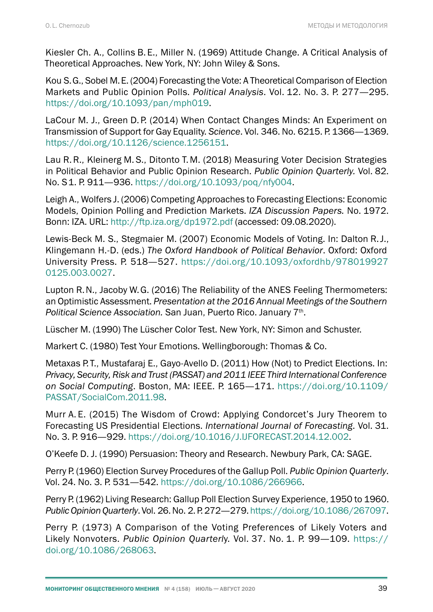Kiesler Ch. A., Collins B. E., Miller N. (1969) Attitude Change. A Critical Analysis of Theoretical Approaches. New York, NY: John Wiley & Sons.

Kou S.G., Sobel M.E. (2004) Forecasting the Vote: A Theoretical Comparison of Election Markets and Public Opinion Polls. *Political Analysis*. Vol. 12. No. 3. P. 277—295. [https://doi.org/10.1093/pan/mph019.](https://doi.org/10.1093/pan/mph019)

LaCour M. J., Green D.P. (2014) When Contact Changes Minds: An Experiment on Transmission of Support for Gay Equality. *Science*. Vol. 346. No. 6215. P. 1366—1369. <https://doi.org/10.1126/science.1256151>.

Lau R.R., Kleinerg M.S., Ditonto T. M. (2018) Measuring Voter Decision Strategies in Political Behavior and Public Opinion Research. *Public Opinion Quarterly.* Vol. 82. No. S1. P. 911—936. [https://doi.org/10.1093/poq/nfy004.](https://doi.org/10.1093/poq/nfy004)

Leigh A., Wolfers J. (2006) Competing Approaches to Forecasting Elections: Economic Models, Opinion Polling and Prediction Markets. *IZA Discussion Papers.* No. 1972. Bonn: IZA. URL:<http://ftp.iza.org/dp1972.pdf> (accessed: 09.08.2020).

Lewis-Beck M. S., Stegmaier M. (2007) Economic Models of Voting. In: Dalton R.J., Klingemann H.-D. (eds.) *The Oxford Handbook of Political Behavior*. Oxford: Oxford University Press. P. 518—527. [https://doi.org/10.1093/oxfordhb/978019927](https://doi.org/10.1093/oxfordhb/9780199270125.003.0027) [0125.003.0027.](https://doi.org/10.1093/oxfordhb/9780199270125.003.0027)

Lupton R.N., Jacoby W.G. (2016) The Reliability of the ANES Feeling Thermometers: an Optimistic Assessment. *Presentation at the 2016 Annual Meetings of the Southern Political Science Association.* San Juan, Puerto Rico. January 7th.

Lüscher M. (1990) The Lüscher Color Test. New York, NY: Simon and Schuster.

Markert С. (1980) Test Your Emotions. Wellingborough: Thomas & Co.

Metaxas P.T., Mustafaraj E., Gayo-Avello D. (2011) How (Not) to Predict Elections. In: *Privacy, Security, Risk and Trust (PASSAT) and 2011 IEEE Third International Conference on Social Computing*. Boston, MA: IEEE. P. 165—171. [https://doi.org/10.1109/](https://doi.org/10.1109/PASSAT/SocialCom.2011.98) [PASSAT/SocialCom.2011.98](https://doi.org/10.1109/PASSAT/SocialCom.2011.98).

Murr A. E. (2015) The Wisdom of Crowd: Applying Condorcet's Jury Theorem to Forecasting US Presidential Elections. *International Journal of Forecasting*. Vol. 31. No. 3. P. 916—929.<https://doi.org/10.1016/J.IJFORECAST.2014.12.002>.

O'Keefe D. J. (1990) Persuasion: Theory and Research. Newbury Park, CA: SAGE.

Perry P. (1960) Election Survey Procedures of the Gallup Poll. *Public Opinion Quarterly*. Vol. 24. No. 3. P. 531—542. [https://doi.org/10.1086/266966.](https://doi.org/10.1086/266966)

Perry P. (1962) Living Research: Gallup Poll Election Survey Experience, 1950 to 1960. *Public Opinion Quarterly*. Vol. 26. No. 2. P. 272—279.<https://doi.org/10.1086/267097>.

Perry P. (1973) A Comparison of the Voting Preferences of Likely Voters and Likely Nonvoters. *Public Opinion Quarterl*y. Vol. 37. No. 1. P. 99—109. [https://](https://doi.org/10.1086/268063) [doi.org/10.1086/268063](https://doi.org/10.1086/268063).